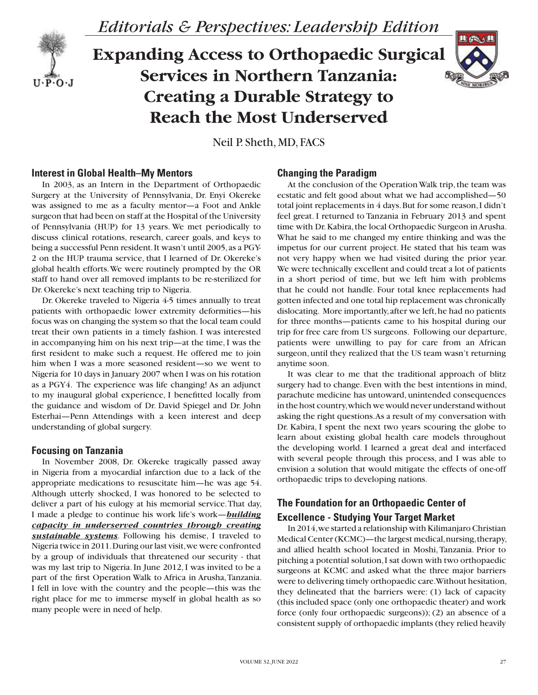

*Editorials & Perspectives: Leadership Edition*

# **Expanding Access to Orthopaedic Surgical Services in Northern Tanzania: Creating a Durable Strategy to Reach the Most Underserved**



Neil P. Sheth, MD, FACS

## **Interest in Global Health–My Mentors**

In 2003, as an Intern in the Department of Orthopaedic Surgery at the University of Pennsylvania, Dr. Enyi Okereke was assigned to me as a faculty mentor—a Foot and Ankle surgeon that had been on staff at the Hospital of the University of Pennsylvania (HUP) for 13 years. We met periodically to discuss clinical rotations, research, career goals, and keys to being a successful Penn resident. It wasn't until 2005, as a PGY-2 on the HUP trauma service, that I learned of Dr. Okereke's global health efforts. We were routinely prompted by the OR staff to hand over all removed implants to be re-sterilized for Dr. Okereke's next teaching trip to Nigeria.

Dr. Okereke traveled to Nigeria 4-5 times annually to treat patients with orthopaedic lower extremity deformities—his focus was on changing the system so that the local team could treat their own patients in a timely fashion. I was interested in accompanying him on his next trip—at the time, I was the first resident to make such a request. He offered me to join him when I was a more seasoned resident—so we went to Nigeria for 10 days in January 2007 when I was on his rotation as a PGY4. The experience was life changing! As an adjunct to my inaugural global experience, I benefitted locally from the guidance and wisdom of Dr. David Spiegel and Dr. John Esterhai—Penn Attendings with a keen interest and deep understanding of global surgery.

#### **Focusing on Tanzania**

In November 2008, Dr. Okereke tragically passed away in Nigeria from a myocardial infarction due to a lack of the appropriate medications to resuscitate him—he was age 54. Although utterly shocked, I was honored to be selected to deliver a part of his eulogy at his memorial service. That day, I made a pledge to continue his work life's work—*building capacity in underserved countries through creating sustainable systems*. Following his demise, I traveled to Nigeria twice in 2011. During our last visit, we were confronted by a group of individuals that threatened our security - that was my last trip to Nigeria. In June 2012, I was invited to be a part of the first Operation Walk to Africa in Arusha, Tanzania. I fell in love with the country and the people—this was the right place for me to immerse myself in global health as so many people were in need of help.

### **Changing the Paradigm**

At the conclusion of the Operation Walk trip, the team was ecstatic and felt good about what we had accomplished—50 total joint replacements in 4 days. But for some reason, I didn't feel great. I returned to Tanzania in February 2013 and spent time with Dr. Kabira, the local Orthopaedic Surgeon in Arusha. What he said to me changed my entire thinking and was the impetus for our current project. He stated that his team was not very happy when we had visited during the prior year. We were technically excellent and could treat a lot of patients in a short period of time, but we left him with problems that he could not handle. Four total knee replacements had gotten infected and one total hip replacement was chronically dislocating. More importantly, after we left, he had no patients for three months—patients came to his hospital during our trip for free care from US surgeons. Following our departure, patients were unwilling to pay for care from an African surgeon, until they realized that the US team wasn't returning anytime soon.

It was clear to me that the traditional approach of blitz surgery had to change. Even with the best intentions in mind, parachute medicine has untoward, unintended consequences in the host country, which we would never understand without asking the right questions. As a result of my conversation with Dr. Kabira, I spent the next two years scouring the globe to learn about existing global health care models throughout the developing world. I learned a great deal and interfaced with several people through this process, and I was able to envision a solution that would mitigate the effects of one-off orthopaedic trips to developing nations.

## **The Foundation for an Orthopaedic Center of Excellence - Studying Your Target Market**

In 2014, we started a relationship with Kilimanjaro Christian Medical Center (KCMC)—the largest medical, nursing, therapy, and allied health school located in Moshi, Tanzania. Prior to pitching a potential solution, I sat down with two orthopaedic surgeons at KCMC and asked what the three major barriers were to delivering timely orthopaedic care. Without hesitation, they delineated that the barriers were: (1) lack of capacity (this included space (only one orthopaedic theater) and work force (only four orthopaedic surgeons)); (2) an absence of a consistent supply of orthopaedic implants (they relied heavily